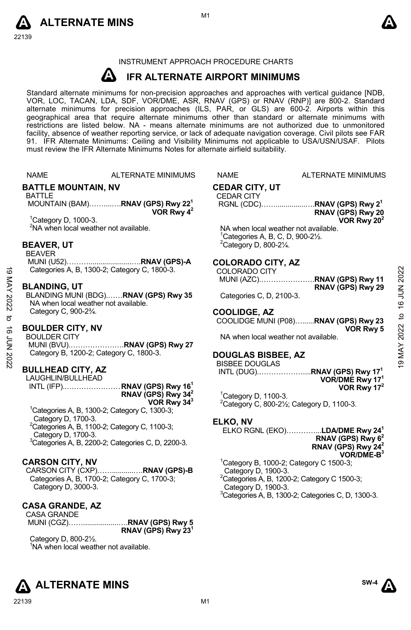22139



#### INSTRUMENT APPROACH PROCEDURE CHARTS

#### **A IFR ALTERNATE AIRPORT MINIMUMS**

Standard alternate minimums for non-precision approaches and approaches with vertical guidance [NDB,<br>VOR, LOC, TACAN, LDA, SDF, VOR/DME, ASR, RNAV (GPS) or RNAV (RNP)] are 800-2. Standard<br>alternate minimums for precision a geographical area that require alternate minimums other than standard or alternate minimums with restrictions are listed below. NA - means alternate minimums are not authorized due to unmonitored facility, absence of weather reporting service, or lack of adequate navigation coverage. Civil pilots see FAR 91. IFR Alternate Minimums: Ceiling and Visibility Minimums not applicable to USA/USN/USAF. Pilots must review the IFR Alternate Minimums Notes for alternate airfield suitability.

NAME ALTERNATE MINIMUMS NAME ALTERNATE MINIMUMS

#### **BATTLE MOUNTAIN, NV**

#### BATTLE

 MOUNTAIN (BAM)……....….**RNAV (GPS) Rwy 221 VOR Rwy 42** 

1 Category D, 1000-3. <sup>2</sup>NA when local weather not available.

#### **BEAVER, UT**

BEAVER

 MUNI (U52)………......................….**RNAV (GPS)-A** Categories A, B, 1300-2; Category C, 1800-3.

#### **BLANDING, UT**

BLANDING MUNI (BDG).……**RNAV (GPS) Rwy 35**  NA when local weather not available. Category C, 900-2¾. Categories A, B, 1300-2; Category C, 1800-3.<br>  $\frac{18}{100}$ <br>
BLANDING MUNI (BDG).......RNAV (GPS) Rwy 35<br>
MA when local weather not available.<br>
Category C, 900-2<sup>3</sup>/4.<br>
BOULDER CITY, NV<br>
EQUILDER CITY, NV<br>
EQUILDER CITY, N

#### **BOULDER CITY, NV**

BOULDER CITY MUNI (BVU).………………….**RNAV (GPS) Rwy 27** Category B, 1200-2; Category C, 1800-3.

#### **BULLHEAD CITY, AZ**

LAUGHLIN/BULLHEAD INTL (IFP)..………………… . **RNAV (GPS) Rwy 161 RNAV (GPS) Rwy 342 VOR Rwy 343**

1 Categories A, B, 1300-2; Category C, 1300-3; Category D, 1700-3.  ${}^{2}$ Categories A, B, 1100-2; Category C, 1100-3; Category D, 1700-3. 3 Categories A, B, 2200-2; Categories C, D, 2200-3.

### **CARSON CITY, NV**

CARSON CITY (CXP)……...........….**RNAV (GPS)-B**  Categories A, B, 1700-2; Category C, 1700-3; Category D, 3000-3.

#### **CASA GRANDE, AZ**

CASA GRANDE MUNI (CGZ)……..................….**RNAV (GPS) Rwy 5 RNAV (GPS) Rwy 231**

Category D, 800-2½. <sup>1</sup>NA when local weather not available.





NA when local weather not available.

NA when local weather not available. 1 Categories A, B, C, D, 900-2½.  $2$ Category D, 800-2 $\frac{1}{4}$ . **COLORADO CITY, AZ**  COLORADO CITY

#### **DOUGLAS BISBEE, AZ**

Categories C, D, 2100-3.

BISBEE DOUGLAS

**COOLIDGE, AZ** 

**CEDAR CITY, UT**  CEDAR CITY

 INTL (DUG).………………....**RNAV (GPS) Rwy 171 VOR/DME Rwy 171 VOR Rwy 172** 

RGNL (CDC)……...............….**RNAV (GPS) Rwy 21** 

MUNI (AZC).………………….**RNAV (GPS) Rwy 11**

COOLIDGE MUNI (P08)…......**RNAV (GPS) Rwy 23** 

<sup>1</sup> Category D, 1100-3.  $2$ Category C, 800-2 $\frac{1}{2}$ ; Category D, 1100-3.

### **ELKO, NV**

ELKO RGNL (EKO)…………...**LDA/DME Rwy 241**

#### **RNAV (GPS) Rwy 62 RNAV (GPS) Rwy 242**

**RNAV (GPS) Rwy 20 VOR Rwy 202** 

**RNAV (GPS) Rwy 29** 

**VOR Rwy 5** 

**VOR/DME-B3**   $1$ Category B, 1000-2; Category C 1500-3; Category D, 1900-3.  ${}^{2}$ Categories A, B, 1200-2; Category C 1500-3; Category D, 1900-3. 3 Categories A, B, 1300-2; Categories C, D, 1300-3.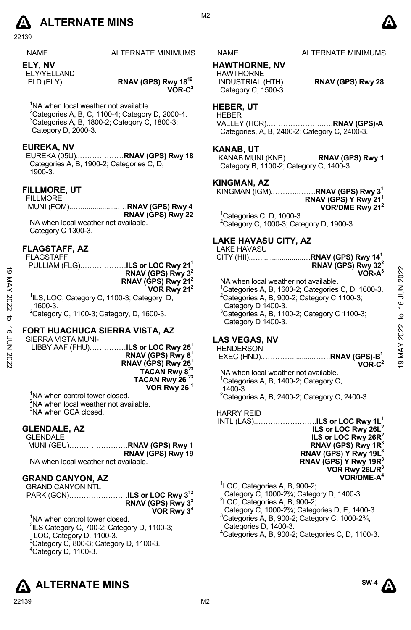

22139

| <b>NAME</b> | <b>ALTERNATE MINIMU</b> |
|-------------|-------------------------|
|             |                         |

**ELY, NV** 

ELY/YELLAND FLD (ELY)..…...................…**RNAV (GPS) Rwy 1812 VOR-C3** 

<sup>1</sup>NA when local weather not available.

 $^{2}$ Categories A, B, C, 1100-4; Category D, 2000-4.  $3$ Categories A, B, 1800-2; Category C, 1800-3; Category D, 2000-3.

#### **EUREKA, NV**

EUREKA (05U)..………………**RNAV (GPS) Rwy 18**  Categories A, B, 1900-2; Categories C, D, 1900-3.

#### **FILLMORE, UT**

FILLMORE MUNI (FOM)..…....................…**RNAV (GPS) Rwy 4 RNAV (GPS) Rwy 22** NA when local weather not available. Category C 1300-3.

#### **FLAGSTAFF, AZ**

FLAGSTAFF PULLIAM (FLG).………………**ILS or LOC Rwy 211**

**RNAV (GPS) Rwy 32 RNAV (GPS) Rwy 212 VOR Rwy 212** <sup>1</sup>ILS, LOC, Category C, 1100-3; Category, D, 1600-3.

 ${}^{2}$ Category C, 1100-3; Category, D, 1600-3.

### **FORT HUACHUCA SIERRA VISTA, AZ**

SIERRA VISTA MUNI-LIBBY AAF (FHU)……………**ILS or LOC Rwy 261 RNAV (GPS) Rwy 81 RNAV (GPS) Rwy 261**  TACAN Rwy 8<sup>23</sup> **TACAN Rwy 26 23 VOR Rwy 26 1** 

<sup>1</sup>NA when control tower closed. <sup>2</sup>NA when local weather not available. <sup>3</sup>NA when GCA closed.

#### **GLENDALE, AZ**

GLENDALE MUNI (GEU)……………………**RNAV (GPS) Rwy 1 RNAV (GPS) Rwy 19**  NA when local weather not available.

**GRAND CANYON, AZ**  GRAND CANYON NTL

PARK (GCN)……………………**ILS or LOC Rwy 312 RNAV (GPS) Rwy 33 VOR Rwy 34** 

<sup>1</sup>NA when control tower closed.  $2$ ILS Category C, 700-2; Category D, 1100-3; LOC, Category D, 1100-3.  $3$ Category C, 800-3; Category D, 1100-3. 4 Category D, 1100-3.



#### MS NAME ALTERNATE MINIMUMS

#### **HAWTHORNE, NV**

HAWTHORNE INDUSTRIAL (HTH).…………**RNAV (GPS) Rwy 28**  Category C, 1500-3.

#### **HEBER, UT**

HEBER VALLEY (HCR).…………………..….**RNAV (GPS)-A**  Categories, A, B, 2400-2; Category C, 2400-3.

#### **KANAB, UT**

KANAB MUNI (KNB).………….**RNAV (GPS) Rwy 1**  Category B, 1100-2; Category C, 1400-3.

#### **KINGMAN, AZ**

KINGMAN (IGM).………..…….**RNAV (GPS) Rwy 31 RNAV (GPS) Y Rwy 211 VOR/DME Rwy 212** 

 $1$ Categories C, D, 1000-3. 2 Category C, 1000-3; Category D, 1900-3.

#### **LAKE HAVASU CITY, AZ**

LAKE HAVASU

CITY (HII)..…......................…**RNAV (GPS) Rwy 141 RNAV (GPS) Rwy 322** 

**VOR-A3**  NA when local weather not available. <sup>1</sup>Categories A, B, 1600-2; Categories C, D, 1600-3.  $2^2$ Categories A, B, 900-2; Category C 1100-3; Category D 1400-3. 3 Categories A, B, 1100-2; Category C 1100-3; Category D 1400-3.  $\frac{1}{2}$ <br>  $\frac{1}{2}$ <br>  $\frac{1}{2}$ <br>  $\frac{1}{2}$ <br>  $\frac{1}{2}$ <br>  $\frac{1}{2}$ <br>  $\frac{1}{2}$ <br>  $\frac{1}{2}$ <br>  $\frac{1}{2}$ <br>  $\frac{1}{2}$ <br>  $\frac{1}{2}$ <br>  $\frac{1}{2}$ <br>  $\frac{1}{2}$ <br>  $\frac{1}{2}$ <br>  $\frac{1}{2}$ <br>  $\frac{1}{2}$ <br>  $\frac{1}{2}$ <br>  $\frac{1}{2}$ <br>  $\frac{1}{2}$ <br>  $\frac{1}{2}$ <br>

#### **LAS VEGAS, NV**

## **HENDERSON**

 EXEC (HND).…………...........…….**RNAV (GPS)-B1 VOR-C2**

NA when local weather not available. <sup>1</sup>Categories A, B, 1400-2; Category C, 1400-3.  $2$ Categories A, B, 2400-2; Category C, 2400-3.

HARRY REID

INTL (LAS).…………………….**ILS or LOC Rwy 1L1 ILS or LOC Rwy 26L2 ILS or LOC Rwy 26R2 RNAV (GPS) Rwy 1R3 RNAV (GPS) Y Rwy 19L3 RNAV (GPS) Y Rwy 19R3 VOR Rwy 26L/R3 VOR/DME-A4** 

1 LOC, Categories A, B, 900-2;

Category C, 1000-2¾; Category D, 1400-3. 2

LOC, Categories A, B, 900-2;

Category C, 1000-2¾; Categories D, E, 1400-3.

3 Categories A, B, 900-2; Category C, 1000-2¾,

Categories D, 1400-3.

4 Categories A, B, 900-2; Categories C, D, 1100-3.

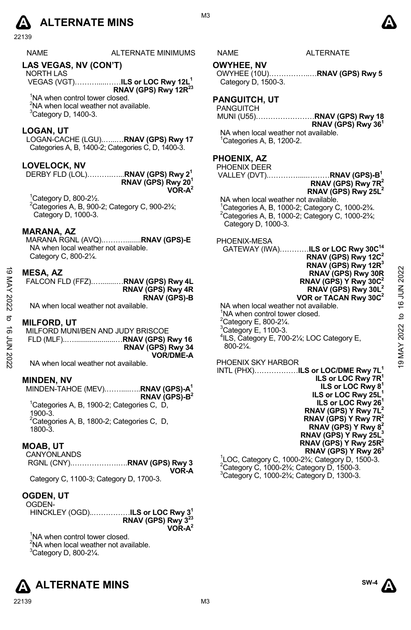# **A** ALTERNATE MINS  $\bullet$

22139

| <b>NAME</b> | <b>ALTERNATE MINIMUMS</b> | NAME | <b>ALTERNATE</b> |
|-------------|---------------------------|------|------------------|
|             |                           |      |                  |
|             |                           |      |                  |

## **LAS VEGAS, NV (CON'T)**

NORTH LAS VEGAS (VGT)……….....……**ILS or LOC Rwy 12L1 RNAV (GPS) Rwy 12R23** 

<sup>1</sup>NA when control tower closed. <sup>2</sup>NA when local weather not available.  ${}^{3}$ Category D, 1400-3.

#### **LOGAN, UT**

LOGAN-CACHE (LGU).…...…**RNAV (GPS) Rwy 17**  Categories A, B, 1400-2; Categories C, D, 1400-3.

#### **LOVELOCK, NV**

DERBY FLD (LOL)……….…...**RNAV (GPS) Rwy 21 RNAV (GPS) Rwy 201 VOR-A2** 

1 Category D, 800-2½.  ${}^{2}$ Categories A, B, 900-2; Category C, 900-2 $\frac{3}{4}$ ; Category D, 1000-3.

## **MARANA, AZ**

MARANA RGNL (AVQ).………........**RNAV (GPS)-E**  NA when local weather not available. Category C, 800-2¼.

#### **MESA, AZ**

| FALCON FLD (FFZ) RNAV (GPS) Rwy 4L |                     |
|------------------------------------|---------------------|
|                                    | RNAV (GPS) Rwy 4R   |
|                                    | <b>RNAV (GPS)-B</b> |

NA when local weather not available.

#### **MILFORD, UT**

MILFORD MUNI/BEN AND JUDY BRISCOE FLD (MLF)..….....................…**RNAV (GPS) Rwy 16 RNAV (GPS) Rwy 34 VOR/DME-A** 

NA when local weather not available.

#### **MINDEN, NV**

MINDEN-TAHOE (MEV).……....…..**RNAV (GPS)-A1 RNAV (GPS)-B2**  <sup>1</sup>Categories A, B, 1900-2; Categories C, D, 1900-3.  ${}^{2}$ Categories A, B, 1800-2; Categories C, D, 1800-3.

#### **MOAB, UT**

CANYONLANDS RGNL (CNY).……………….….**RNAV (GPS) Rwy 3**

**VOR-A**  Category C, 1100-3; Category D, 1700-3.

#### **OGDEN, UT**

OGDEN-

HINCKLEY (OGD)..……………**ILS or LOC Rwy 31 RNAV (GPS) Rwy 3 VOR-A2** 

<sup>1</sup>NA when control tower closed. <sup>2</sup>NA when local weather not available.  $3$ Category D, 800-2 $\frac{1}{4}$ .







**RNAV (GPS) Y Rwy 263** <sup>1</sup> LOC, Category C, 1000-2¾; Category D, 1500-3.  $2^2$ Category C, 1000-23⁄4; Category D, 1500-3.

3 Category C, 1000-2¾; Category D, 1300-3.





**PHOENIX, AZ** 

## PHOENIX DEER

**OWYHEE, NV** 

Category D, 1500-3. **PANGUITCH, UT**  PANGUITCH

VALLEY (DVT).………….....………**RNAV (GPS)-B1**

**RNAV (GPS) Rwy 25L2**

**RNAV (GPS) Rwy 361**

<sup>1</sup> Categories A, B, 1000-2; Category C, 1000-2<sup>3</sup>/<sub>4</sub>.<br><sup>2</sup> Categories A, B, 1000-2; Category C, 1000-23/  $2$ Categories A, B, 1000-2; Category C, 1000-2 $\frac{3}{4}$ ; Category D, 1000-3.

OWYHEE (10U)……………..…**RNAV (GPS) Rwy 5**

MUNI (U55)……………………**RNAV (GPS) Rwy 18** 

NA when local weather not available. 1 Categories A, B, 1200-2.

PHOENIX-MESA

GATEWAY (IWA)…………**ILS or LOC Rwy 30C14 RNAV (GPS) Rwy 12C2 RNAV (GPS) Rwy 12R3 RNAV (GPS) Rwy 30R RNAV (GPS) Y Rwy 30C2 RNAV (GPS) Rwy 30L2 VOR or TACAN Rwy 30C2**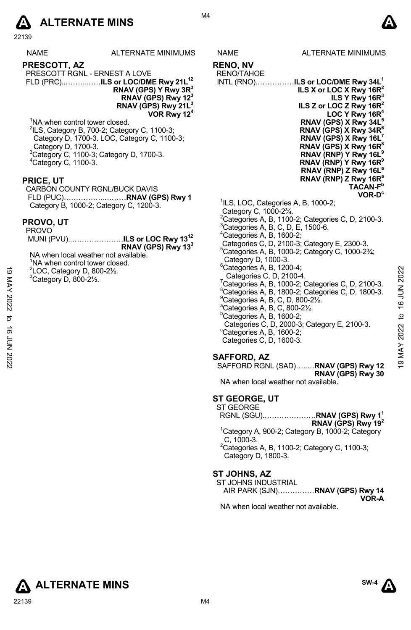

22139

| <b>NAME</b> | <b>ALTERNATE MINIMUMS</b> |
|-------------|---------------------------|
|             |                           |

**PRESCOTT, AZ**  PRESCOTT RGNL - ERNEST A LOVE

FLD (PRC)..……...……**ILS or LOC/DME Rwy 21L12 RNAV (GPS) Y Rwy 3R3 RNAV (GPS) Rwy 123 RNAV (GPS) Rwy 21L3 VOR Rwy 124**

<sup>1</sup>NA when control tower closed. 2 ILS, Category B, 700-2; Category C, 1100-3; Category D, 1700-3. LOC, Category C, 1100-3; Category D, 1700-3. 3 Category C, 1100-3; Category D, 1700-3. 4 Category C, 1100-3.

#### **PRICE, UT**

CARBON COUNTY RGNL/BUCK DAVIS FLD (PUC)……………..………**RNAV (GPS) Rwy 1** Category B, 1000-2; Category C, 1200-3.

#### **PROVO, UT**

| <b>PROVO</b> |                                           |
|--------------|-------------------------------------------|
|              | MUNI (PVU)ILS or LOC Rwy 13 <sup>12</sup> |
|              | RNAV (GPS) Rwy 13 <sup>3</sup>            |

NA when local weather not available. <sup>1</sup>NA when control tower closed. 2 LOC, Category D, 800-2½.

 $3$ Category D, 800-2 $\frac{1}{2}$ .

M4

**ILS Y Rwy 16R3** 

- **RENO, NV**
- RENO/TAHOE INTL (RNO).……………**ILS or LOC/DME Rwy 34L1 ILS X or LOC X Rwy 16R2 ILS Z or LOC Z Rwy 16R**<sup>2</sup>
	- LOC Y Rwy 16R **RNAV (GPS) X Rwy 34L5 RNAV (GPS) X Rwy 34R6 RNAV (GPS) X Rwy 16L7 RNAV (GPS) X Rwy 16R8 RNAV (RNP) Y Rwy 16L9 RNAV (RNP) Y Rwy 16R9 RNAV (RNP) Z Rwy 16La RNAV (RNP) Z Rwy 16Ra TACAN-Fb VOR-Dc**
	- <sup>1</sup>ILS, LOC, Categories A, B, 1000-2;
- Category C, 1000-2¾.
- $^{2}$ Categories A, B, 1100-2; Categories C, D, 2100-3.
- ${}^{3}$ Categories A, B, C, D, E, 1500-6.
- $4$ Categories A, B, 1600-2;
- Categories C, D, 2100-3; Category E, 2300-3.
- $5$ Categories A, B, 1000-2; Category C, 1000-2 $\frac{3}{4}$ ; Category D, 1000-3.
- $6$ Categories A, B, 1200-4; Categories C, D, 2100-4.  $\frac{7}{6}$ Categories A, B, 1000-2; Categories C, D, 2100-3.  ${}^{8}$ Categories A, B, 1800-2; Categories C, D, 1800-3.  $^9$ Categories A, B, C, D, 800-2 $\frac{1}{2}$ . a Categories A, B, C, 800-2½. <sup>2</sup> LOC, Category D, 800-2½.<br>
<sup>3</sup> Category D, 800-2½.<br>
<sup>3</sup> Categories C, D, 2100-4.<br>
<sup>2</sup> Categories A, B, 1000-2; Categories C, D, 2100-3.<br>
<sup>8</sup> Categories A, B, 1000-2; Categories C, D, 1800-3.<br>
<sup>3</sup> Categories A, B, 100
	- $b$ Categories A, B, 1600-2;
		- Categories C, D, 2000-3; Category E, 2100-3.
	- $\mathrm{^{\circ}$ Categories A, B, 1600-2; Categories C, D, 1600-3.

#### **SAFFORD, AZ**   $S$ AFFORD RG

| 6NL (SAD)……… <b>RNAV (GPS) Rwy 12</b> |  |                   |
|---------------------------------------|--|-------------------|
|                                       |  | RNAV (GPS) Rwy 30 |

NA when local weather not available.

#### **ST GEORGE, UT**

ST GEORGE RGNL (SGU).…………………**RNAV (GPS) Rwy 11 RNAV (GPS) Rwy 192** <sup>1</sup>Category A, 900-2; Category B, 1000-2; Category C, 1000-3. 2 Categories A, B, 1100-2; Category C, 1100-3;

Category D, 1800-3.

### **ST JOHNS, AZ**

| ST JOHNS INDUSTRIAL             |       |
|---------------------------------|-------|
| AIR PARK (SJN)RNAV (GPS) Rwy 14 |       |
|                                 | VOR-A |

NA when local weather not available.